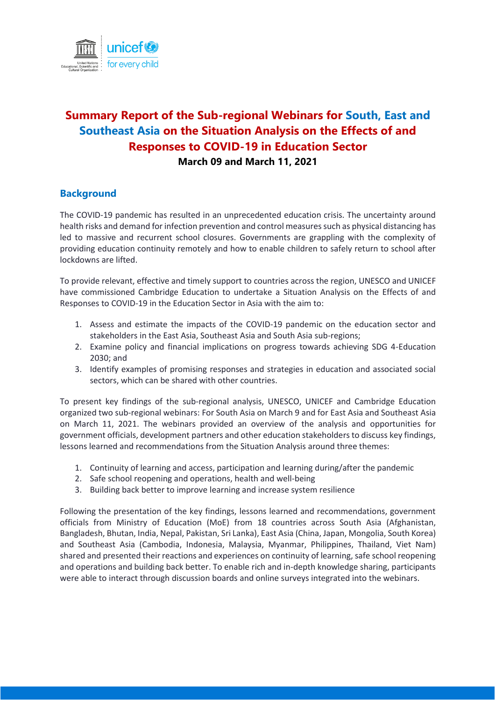

# **Summary Report of the Sub-regional Webinars for South, East and Southeast Asia on the Situation Analysis on the Effects of and Responses to COVID-19 in Education Sector March 09 and March 11, 2021**

#### **Background**

The COVID-19 pandemic has resulted in an unprecedented education crisis. The uncertainty around health risks and demand for infection prevention and control measures such as physical distancing has led to massive and recurrent school closures. Governments are grappling with the complexity of providing education continuity remotely and how to enable children to safely return to school after lockdowns are lifted.

To provide relevant, effective and timely support to countries across the region, UNESCO and UNICEF have commissioned Cambridge Education to undertake a Situation Analysis on the Effects of and Responses to COVID-19 in the Education Sector in Asia with the aim to:

- 1. Assess and estimate the impacts of the COVID-19 pandemic on the education sector and stakeholders in the East Asia, Southeast Asia and South Asia sub-regions;
- 2. Examine policy and financial implications on progress towards achieving SDG 4-Education 2030; and
- 3. Identify examples of promising responses and strategies in education and associated social sectors, which can be shared with other countries.

To present key findings of the sub-regional analysis, UNESCO, UNICEF and Cambridge Education organized two sub-regional webinars: For South Asia on March 9 and for East Asia and Southeast Asia on March 11, 2021. The webinars provided an overview of the analysis and opportunities for government officials, development partners and other education stakeholders to discuss key findings, lessons learned and recommendations from the Situation Analysis around three themes:

- 1. Continuity of learning and access, participation and learning during/after the pandemic
- 2. Safe school reopening and operations, health and well-being
- 3. Building back better to improve learning and increase system resilience

Following the presentation of the key findings, lessons learned and recommendations, government officials from Ministry of Education (MoE) from 18 countries across South Asia (Afghanistan, Bangladesh, Bhutan, India, Nepal, Pakistan, Sri Lanka), East Asia (China, Japan, Mongolia, South Korea) and Southeast Asia (Cambodia, Indonesia, Malaysia, Myanmar, Philippines, Thailand, Viet Nam) shared and presented their reactions and experiences on continuity of learning, safe school reopening and operations and building back better. To enable rich and in-depth knowledge sharing, participants were able to interact through discussion boards and online surveys integrated into the webinars.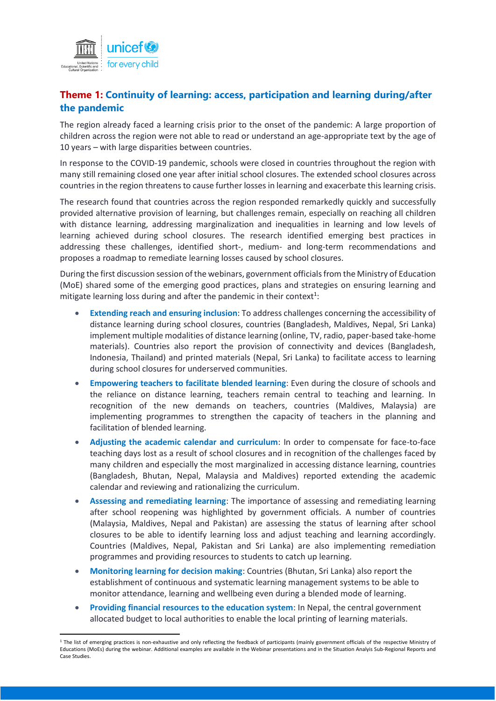

# **Theme 1: Continuity of learning: access, participation and learning during/after the pandemic**

The region already faced a learning crisis prior to the onset of the pandemic: A large proportion of children across the region were not able to read or understand an age-appropriate text by the age of 10 years – with large disparities between countries.

In response to the COVID-19 pandemic, schools were closed in countries throughout the region with many still remaining closed one year after initial school closures. The extended school closures across countries in the region threatens to cause further losses in learning and exacerbate this learning crisis.

The research found that countries across the region responded remarkedly quickly and successfully provided alternative provision of learning, but challenges remain, especially on reaching all children with distance learning, addressing marginalization and inequalities in learning and low levels of learning achieved during school closures. The research identified emerging best practices in addressing these challenges, identified short-, medium- and long-term recommendations and proposes a roadmap to remediate learning losses caused by school closures.

During the first discussion session of the webinars, government officials from the Ministry of Education (MoE) shared some of the emerging good practices, plans and strategies on ensuring learning and mitigate learning loss during and after the pandemic in their context<sup>1</sup>:

- **Extending reach and ensuring inclusion**: To address challenges concerning the accessibility of distance learning during school closures, countries (Bangladesh, Maldives, Nepal, Sri Lanka) implement multiple modalities of distance learning (online, TV, radio, paper-based take-home materials). Countries also report the provision of connectivity and devices (Bangladesh, Indonesia, Thailand) and printed materials (Nepal, Sri Lanka) to facilitate access to learning during school closures for underserved communities.
- **Empowering teachers to facilitate blended learning**: Even during the closure of schools and the reliance on distance learning, teachers remain central to teaching and learning. In recognition of the new demands on teachers, countries (Maldives, Malaysia) are implementing programmes to strengthen the capacity of teachers in the planning and facilitation of blended learning.
- **Adjusting the academic calendar and curriculum**: In order to compensate for face-to-face teaching days lost as a result of school closures and in recognition of the challenges faced by many children and especially the most marginalized in accessing distance learning, countries (Bangladesh, Bhutan, Nepal, Malaysia and Maldives) reported extending the academic calendar and reviewing and rationalizing the curriculum.
- **Assessing and remediating learning**: The importance of assessing and remediating learning after school reopening was highlighted by government officials. A number of countries (Malaysia, Maldives, Nepal and Pakistan) are assessing the status of learning after school closures to be able to identify learning loss and adjust teaching and learning accordingly. Countries (Maldives, Nepal, Pakistan and Sri Lanka) are also implementing remediation programmes and providing resources to students to catch up learning.
- **Monitoring learning for decision making**: Countries (Bhutan, Sri Lanka) also report the establishment of continuous and systematic learning management systems to be able to monitor attendance, learning and wellbeing even during a blended mode of learning.
- **Providing financial resources to the education system**: In Nepal, the central government allocated budget to local authorities to enable the local printing of learning materials.

**<sup>.</sup>** <sup>1</sup> The list of emerging practices is non-exhaustive and only reflecting the feedback of participants (mainly government officials of the respective Ministry of Educations (MoEs) during the webinar. Additional examples are available in the Webinar presentations and in the Situation Analyis Sub-Regional Reports and Case Studies.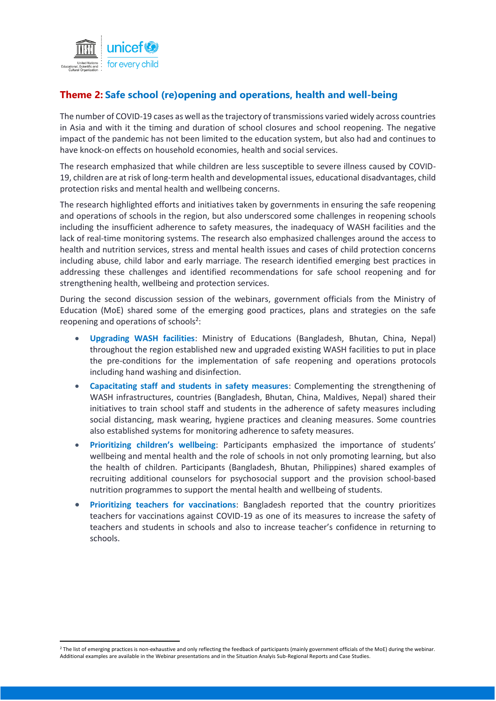

 $\overline{a}$ 

## **Theme 2: Safe school (re)opening and operations, health and well-being**

The number of COVID-19 cases as well as the trajectory of transmissions varied widely across countries in Asia and with it the timing and duration of school closures and school reopening. The negative impact of the pandemic has not been limited to the education system, but also had and continues to have knock-on effects on household economies, health and social services.

The research emphasized that while children are less susceptible to severe illness caused by COVID-19, children are at risk of long-term health and developmental issues, educational disadvantages, child protection risks and mental health and wellbeing concerns.

The research highlighted efforts and initiatives taken by governments in ensuring the safe reopening and operations of schools in the region, but also underscored some challenges in reopening schools including the insufficient adherence to safety measures, the inadequacy of WASH facilities and the lack of real-time monitoring systems. The research also emphasized challenges around the access to health and nutrition services, stress and mental health issues and cases of child protection concerns including abuse, child labor and early marriage. The research identified emerging best practices in addressing these challenges and identified recommendations for safe school reopening and for strengthening health, wellbeing and protection services.

During the second discussion session of the webinars, government officials from the Ministry of Education (MoE) shared some of the emerging good practices, plans and strategies on the safe reopening and operations of schools<sup>2</sup>:

- **Upgrading WASH facilities**: Ministry of Educations (Bangladesh, Bhutan, China, Nepal) throughout the region established new and upgraded existing WASH facilities to put in place the pre-conditions for the implementation of safe reopening and operations protocols including hand washing and disinfection.
- **Capacitating staff and students in safety measures**: Complementing the strengthening of WASH infrastructures, countries (Bangladesh, Bhutan, China, Maldives, Nepal) shared their initiatives to train school staff and students in the adherence of safety measures including social distancing, mask wearing, hygiene practices and cleaning measures. Some countries also established systems for monitoring adherence to safety measures.
- **Prioritizing children's wellbeing**: Participants emphasized the importance of students' wellbeing and mental health and the role of schools in not only promoting learning, but also the health of children. Participants (Bangladesh, Bhutan, Philippines) shared examples of recruiting additional counselors for psychosocial support and the provision school-based nutrition programmes to support the mental health and wellbeing of students.
- **Prioritizing teachers for vaccinations**: Bangladesh reported that the country prioritizes teachers for vaccinations against COVID-19 as one of its measures to increase the safety of teachers and students in schools and also to increase teacher's confidence in returning to schools.

<sup>&</sup>lt;sup>2</sup> The list of emerging practices is non-exhaustive and only reflecting the feedback of participants (mainly government officials of the MoE) during the webinar. Additional examples are available in the Webinar presentations and in the Situation Analyis Sub-Regional Reports and Case Studies.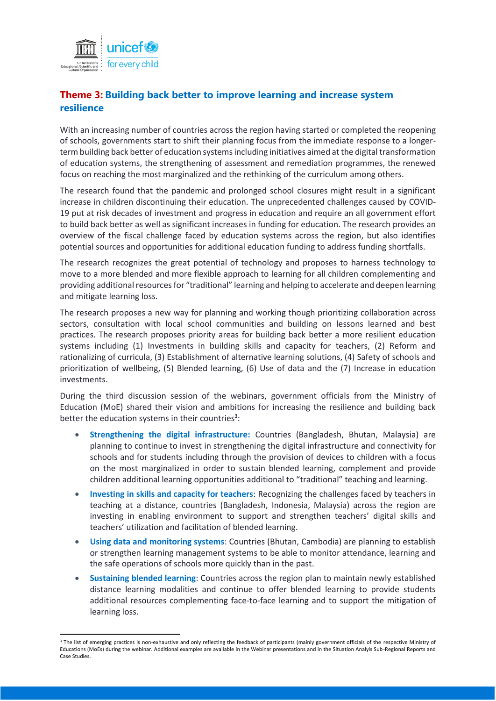

# **Theme 3: Building back better to improve learning and increase system resilience**

With an increasing number of countries across the region having started or completed the reopening of schools, governments start to shift their planning focus from the immediate response to a longerterm building back better of education systems including initiatives aimed at the digital transformation of education systems, the strengthening of assessment and remediation programmes, the renewed focus on reaching the most marginalized and the rethinking of the curriculum among others.

The research found that the pandemic and prolonged school closures might result in a significant increase in children discontinuing their education. The unprecedented challenges caused by COVID-19 put at risk decades of investment and progress in education and require an all government effort to build back better as well as significant increases in funding for education. The research provides an overview of the fiscal challenge faced by education systems across the region, but also identifies potential sources and opportunities for additional education funding to address funding shortfalls.

The research recognizes the great potential of technology and proposes to harness technology to move to a more blended and more flexible approach to learning for all children complementing and providing additional resources for "traditional" learning and helping to accelerate and deepen learning and mitigate learning loss.

The research proposes a new way for planning and working though prioritizing collaboration across sectors, consultation with local school communities and building on lessons learned and best practices. The research proposes priority areas for building back better a more resilient education systems including (1) Investments in building skills and capacity for teachers, (2) Reform and rationalizing of curricula, (3) Establishment of alternative learning solutions, (4) Safety of schools and prioritization of wellbeing, (5) Blended learning, (6) Use of data and the (7) Increase in education investments.

During the third discussion session of the webinars, government officials from the Ministry of Education (MoE) shared their vision and ambitions for increasing the resilience and building back better the education systems in their countries<sup>3</sup>:

- **Strengthening the digital infrastructure:** Countries (Bangladesh, Bhutan, Malaysia) are planning to continue to invest in strengthening the digital infrastructure and connectivity for schools and for students including through the provision of devices to children with a focus on the most marginalized in order to sustain blended learning, complement and provide children additional learning opportunities additional to "traditional" teaching and learning.
- **Investing in skills and capacity for teachers**: Recognizing the challenges faced by teachers in teaching at a distance, countries (Bangladesh, Indonesia, Malaysia) across the region are investing in enabling environment to support and strengthen teachers' digital skills and teachers' utilization and facilitation of blended learning.
- **Using data and monitoring systems**: Countries (Bhutan, Cambodia) are planning to establish or strengthen learning management systems to be able to monitor attendance, learning and the safe operations of schools more quickly than in the past.
- **Sustaining blended learning**: Countries across the region plan to maintain newly established distance learning modalities and continue to offer blended learning to provide students additional resources complementing face-to-face learning and to support the mitigation of learning loss.

**<sup>.</sup>** <sup>3</sup> The list of emerging practices is non-exhaustive and only reflecting the feedback of participants (mainly government officials of the respective Ministry of Educations (MoEs) during the webinar. Additional examples are available in the Webinar presentations and in the Situation Analyis Sub-Regional Reports and Case Studies.